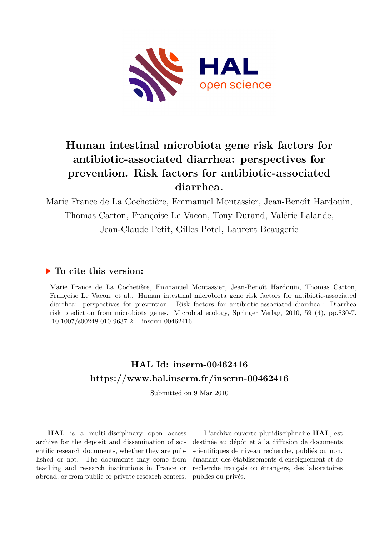

# **Human intestinal microbiota gene risk factors for antibiotic-associated diarrhea: perspectives for prevention. Risk factors for antibiotic-associated diarrhea.**

Marie France de La Cochetière, Emmanuel Montassier, Jean-Benoît Hardouin, Thomas Carton, Françoise Le Vacon, Tony Durand, Valérie Lalande, Jean-Claude Petit, Gilles Potel, Laurent Beaugerie

## **To cite this version:**

Marie France de La Cochetière, Emmanuel Montassier, Jean-Benoît Hardouin, Thomas Carton, Françoise Le Vacon, et al.. Human intestinal microbiota gene risk factors for antibiotic-associated diarrhea: perspectives for prevention. Risk factors for antibiotic-associated diarrhea.: Diarrhea risk prediction from microbiota genes. Microbial ecology, Springer Verlag, 2010, 59 (4), pp.830-7.  $10.1007/s00248-010-9637-2$ . inserm-00462416

# **HAL Id: inserm-00462416 <https://www.hal.inserm.fr/inserm-00462416>**

Submitted on 9 Mar 2010

**HAL** is a multi-disciplinary open access archive for the deposit and dissemination of scientific research documents, whether they are published or not. The documents may come from teaching and research institutions in France or abroad, or from public or private research centers.

L'archive ouverte pluridisciplinaire **HAL**, est destinée au dépôt et à la diffusion de documents scientifiques de niveau recherche, publiés ou non, émanant des établissements d'enseignement et de recherche français ou étrangers, des laboratoires publics ou privés.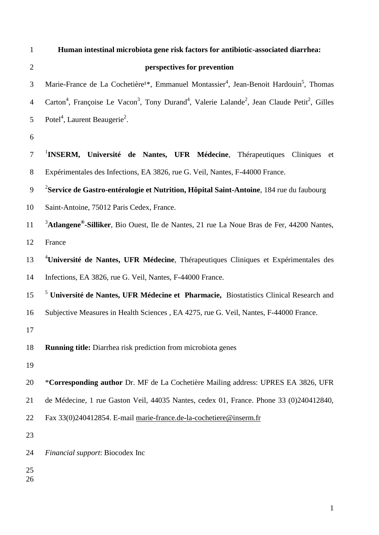| $\mathbf{1}$   | Human intestinal microbiota gene risk factors for antibiotic-associated diarrhea:                                                                         |
|----------------|-----------------------------------------------------------------------------------------------------------------------------------------------------------|
| $\overline{2}$ | perspectives for prevention                                                                                                                               |
| 3              | Marie-France de La Cochetière <sup>1*</sup> , Emmanuel Montassier <sup>4</sup> , Jean-Benoit Hardouin <sup>5</sup> , Thomas                               |
| $\overline{4}$ | Carton <sup>4</sup> , Françoise Le Vacon <sup>3</sup> , Tony Durand <sup>4</sup> , Valerie Lalande <sup>2</sup> , Jean Claude Petit <sup>2</sup> , Gilles |
| 5              | Potel <sup>4</sup> , Laurent Beaugerie <sup>2</sup> .                                                                                                     |
| 6              |                                                                                                                                                           |
| $\tau$         | <sup>1</sup> INSERM, Université de Nantes, UFR Médecine, Thérapeutiques<br>Cliniques<br>et                                                                |
| $8\,$          | Expérimentales des Infections, EA 3826, rue G. Veil, Nantes, F-44000 France.                                                                              |
| 9              | <sup>2</sup> Service de Gastro-entérologie et Nutrition, Hôpital Saint-Antoine, 184 rue du faubourg                                                       |
| 10             | Saint-Antoine, 75012 Paris Cedex, France.                                                                                                                 |
| 11             | <sup>3</sup> Atlangene <sup>®</sup> -Silliker, Bio Ouest, Ile de Nantes, 21 rue La Noue Bras de Fer, 44200 Nantes,                                        |
| 12             | France                                                                                                                                                    |
| 13             | <sup>4</sup> Université de Nantes, UFR Médecine, Thérapeutiques Cliniques et Expérimentales des                                                           |
| 14             | Infections, EA 3826, rue G. Veil, Nantes, F-44000 France.                                                                                                 |
| 15             | <sup>5</sup> Université de Nantes, UFR Médecine et Pharmacie, Biostatistics Clinical Research and                                                         |
| 16             | Subjective Measures in Health Sciences, EA 4275, rue G. Veil, Nantes, F-44000 France.                                                                     |
| 17             |                                                                                                                                                           |
| 18             | <b>Running title:</b> Diarrhea risk prediction from microbiota genes                                                                                      |
| 19             |                                                                                                                                                           |
| 20             | *Corresponding author Dr. MF de La Cochetière Mailing address: UPRES EA 3826, UFR                                                                         |
| 21             | de Médecine, 1 rue Gaston Veil, 44035 Nantes, cedex 01, France. Phone 33 (0)240412840,                                                                    |
| 22             | Fax 33(0)240412854. E-mail marie-france.de-la-cochetiere@inserm.fr                                                                                        |
| 23             |                                                                                                                                                           |
| 24             | Financial support: Biocodex Inc                                                                                                                           |
| 25<br>26       |                                                                                                                                                           |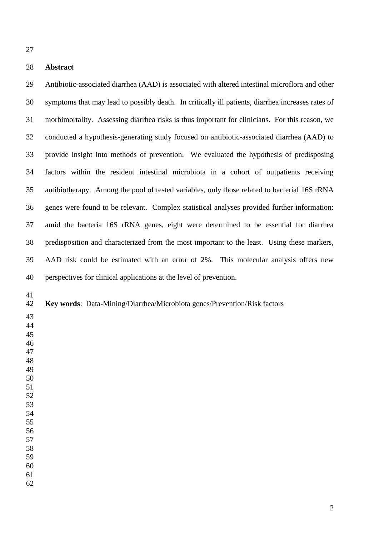#### **Abstract**

 Antibiotic-associated diarrhea (AAD) is associated with altered intestinal microflora and other symptoms that may lead to possibly death. In critically ill patients, diarrhea increases rates of morbimortality. Assessing diarrhea risks is thus important for clinicians. For this reason, we conducted a hypothesis-generating study focused on antibiotic-associated diarrhea (AAD) to provide insight into methods of prevention. We evaluated the hypothesis of predisposing factors within the resident intestinal microbiota in a cohort of outpatients receiving antibiotherapy. Among the pool of tested variables, only those related to bacterial 16S rRNA genes were found to be relevant. Complex statistical analyses provided further information: amid the bacteria 16S rRNA genes, eight were determined to be essential for diarrhea predisposition and characterized from the most important to the least. Using these markers, AAD risk could be estimated with an error of 2%. This molecular analysis offers new perspectives for clinical applications at the level of prevention.

#### **Key words**: Data-Mining/Diarrhea/Microbiota genes/Prevention/Risk factors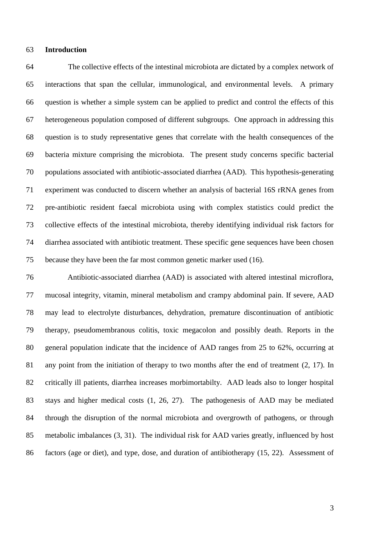#### **Introduction**

 The collective effects of the intestinal microbiota are dictated by a complex network of interactions that span the cellular, immunological, and environmental levels. A primary question is whether a simple system can be applied to predict and control the effects of this heterogeneous population composed of different subgroups. One approach in addressing this question is to study representative genes that correlate with the health consequences of the bacteria mixture comprising the microbiota. The present study concerns specific bacterial populations associated with antibiotic-associated diarrhea (AAD). This hypothesis-generating experiment was conducted to discern whether an analysis of bacterial 16S rRNA genes from pre-antibiotic resident faecal microbiota using with complex statistics could predict the collective effects of the intestinal microbiota, thereby identifying individual risk factors for diarrhea associated with antibiotic treatment. These specific gene sequences have been chosen because they have been the far most common genetic marker used (16).

 Antibiotic-associated diarrhea (AAD) is associated with altered intestinal microflora, mucosal integrity, vitamin, mineral metabolism and crampy abdominal pain. If severe, AAD may lead to electrolyte disturbances, dehydration, premature discontinuation of antibiotic therapy, pseudomembranous colitis, toxic megacolon and possibly death. Reports in the general population indicate that the incidence of AAD ranges from 25 to 62%, occurring at any point from the initiation of therapy to two months after the end of treatment (2, 17). In critically ill patients, diarrhea increases morbimortabilty. AAD leads also to longer hospital stays and higher medical costs (1, 26, 27). The pathogenesis of AAD may be mediated through the disruption of the normal microbiota and overgrowth of pathogens, or through metabolic imbalances (3, 31). The individual risk for AAD varies greatly, influenced by host factors (age or diet), and type, dose, and duration of antibiotherapy (15, 22). Assessment of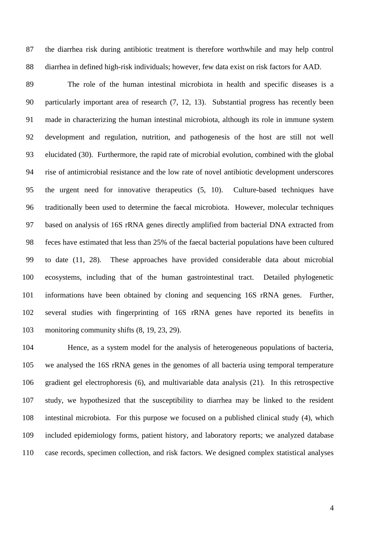the diarrhea risk during antibiotic treatment is therefore worthwhile and may help control diarrhea in defined high-risk individuals; however, few data exist on risk factors for AAD.

 The role of the human intestinal microbiota in health and specific diseases is a particularly important area of research (7, 12, 13). Substantial progress has recently been made in characterizing the human intestinal microbiota, although its role in immune system development and regulation, nutrition, and pathogenesis of the host are still not well elucidated (30). Furthermore, the rapid rate of microbial evolution, combined with the global rise of antimicrobial resistance and the low rate of novel antibiotic development underscores the urgent need for innovative therapeutics (5, 10). Culture-based techniques have traditionally been used to determine the faecal microbiota. However, molecular techniques based on analysis of 16S rRNA genes directly amplified from bacterial DNA extracted from feces have estimated that less than 25% of the faecal bacterial populations have been cultured to date (11, 28). These approaches have provided considerable data about microbial ecosystems, including that of the human gastrointestinal tract. Detailed phylogenetic informations have been obtained by cloning and sequencing 16S rRNA genes. Further, several studies with fingerprinting of 16S rRNA genes have reported its benefits in monitoring community shifts (8, 19, 23, 29).

 Hence, as a system model for the analysis of heterogeneous populations of bacteria, we analysed the 16S rRNA genes in the genomes of all bacteria using temporal temperature gradient gel electrophoresis (6), and multivariable data analysis (21). In this retrospective study, we hypothesized that the susceptibility to diarrhea may be linked to the resident intestinal microbiota. For this purpose we focused on a published clinical study (4), which included epidemiology forms, patient history, and laboratory reports; we analyzed database case records, specimen collection, and risk factors. We designed complex statistical analyses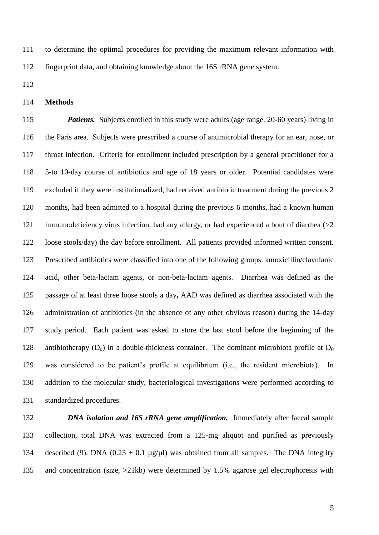to determine the optimal procedures for providing the maximum relevant information with fingerprint data, and obtaining knowledge about the 16S rRNA gene system.

**Methods**

 *Patients.* Subjects enrolled in this study were adults (age range, 20-60 years) living in the Paris area. Subjects were prescribed a course of antimicrobial therapy for an ear, nose, or throat infection. Criteria for enrollment included prescription by a general practitioner for a 5-to 10-day course of antibiotics and age of 18 years or older. Potential candidates were excluded if they were institutionalized, had received antibiotic treatment during the previous 2 months, had been admitted to a hospital during the previous 6 months, had a known human immunodeficiency virus infection, had any allergy, or had experienced a bout of diarrhea (>2 loose stools/day) the day before enrollment. All patients provided informed written consent. Prescribed antibiotics were classified into one of the following groups: amoxicillin/clavulanic acid, other beta-lactam agents, or non-beta-lactam agents. Diarrhea was defined as the passage of at least three loose stools a day**,** AAD was defined as diarrhea associated with the administration of antibiotics (in the absence of any other obvious reason) during the 14-day study period.Each patient was asked to store the last stool before the beginning of the 128 antibiotherapy  $(D_0)$  in a double-thickness container. The dominant microbiota profile at  $D_0$  was considered to be patient's profile at equilibrium (i.e., the resident microbiota). In addition to the molecular study, bacteriological investigations were performed according to standardized procedures.

 *DNA isolation and 16S rRNA gene amplification.* Immediately after faecal sample collection, total DNA was extracted from a 125-mg aliquot and purified as previously 134 described (9). DNA (0.23  $\pm$  0.1 µg/µl) was obtained from all samples. The DNA integrity and concentration (size, >21kb) were determined by 1.5% agarose gel electrophoresis with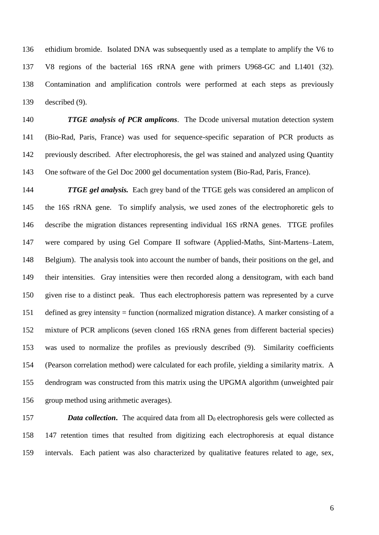ethidium bromide. Isolated DNA was subsequently used as a template to amplify the V6 to V8 regions of the bacterial 16S rRNA gene with primers U968-GC and L1401 (32). Contamination and amplification controls were performed at each steps as previously described (9).

 *TTGE analysis of PCR amplicons*. The Dcode universal mutation detection system (Bio-Rad, Paris, France) was used for sequence-specific separation of PCR products as previously described. After electrophoresis, the gel was stained and analyzed using Quantity One software of the Gel Doc 2000 gel documentation system (Bio-Rad, Paris, France).

 *TTGE gel analysis.* Each grey band of the TTGE gels was considered an amplicon of the 16S rRNA gene. To simplify analysis, we used zones of the electrophoretic gels to describe the migration distances representing individual 16S rRNA genes. TTGE profiles were compared by using Gel Compare II software (Applied-Maths, Sint-Martens–Latem, Belgium). The analysis took into account the number of bands, their positions on the gel, and their intensities. Gray intensities were then recorded along a densitogram, with each band given rise to a distinct peak. Thus each electrophoresis pattern was represented by a curve defined as grey intensity = function (normalized migration distance). A marker consisting of a mixture of PCR amplicons (seven cloned 16S rRNA genes from different bacterial species) was used to normalize the profiles as previously described (9). Similarity coefficients (Pearson correlation method) were calculated for each profile, yielding a similarity matrix. A dendrogram was constructed from this matrix using the UPGMA algorithm (unweighted pair group method using arithmetic averages)*.* 

157 **Data collection.** The acquired data from all  $D_0$  electrophoresis gels were collected as 147 retention times that resulted from digitizing each electrophoresis at equal distance intervals. Each patient was also characterized by qualitative features related to age, sex,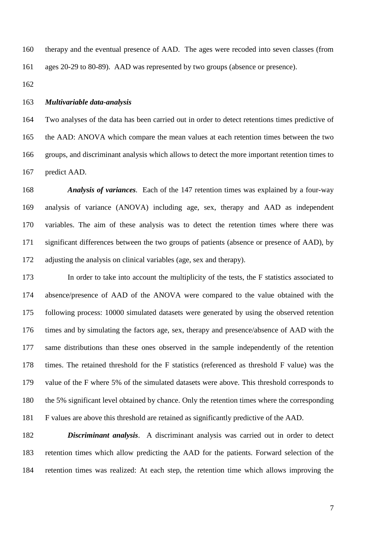therapy and the eventual presence of AAD. The ages were recoded into seven classes (from ages 20-29 to 80-89). AAD was represented by two groups (absence or presence).

#### *Multivariable data-analysis*

 Two analyses of the data has been carried out in order to detect retentions times predictive of the AAD: ANOVA which compare the mean values at each retention times between the two groups, and discriminant analysis which allows to detect the more important retention times to predict AAD.

 *Analysis of variances.* Each of the 147 retention times was explained by a four-way analysis of variance (ANOVA) including age, sex, therapy and AAD as independent variables. The aim of these analysis was to detect the retention times where there was significant differences between the two groups of patients (absence or presence of AAD), by adjusting the analysis on clinical variables (age, sex and therapy).

 In order to take into account the multiplicity of the tests, the F statistics associated to absence/presence of AAD of the ANOVA were compared to the value obtained with the following process: 10000 simulated datasets were generated by using the observed retention times and by simulating the factors age, sex, therapy and presence/absence of AAD with the same distributions than these ones observed in the sample independently of the retention times. The retained threshold for the F statistics (referenced as threshold F value) was the value of the F where 5% of the simulated datasets were above. This threshold corresponds to the 5% significant level obtained by chance. Only the retention times where the corresponding F values are above this threshold are retained as significantly predictive of the AAD.

 *Discriminant analysis*. A discriminant analysis was carried out in order to detect retention times which allow predicting the AAD for the patients. Forward selection of the retention times was realized: At each step, the retention time which allows improving the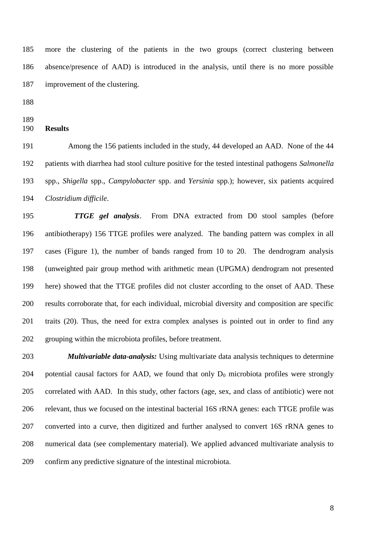more the clustering of the patients in the two groups (correct clustering between absence/presence of AAD) is introduced in the analysis, until there is no more possible improvement of the clustering.

#### **Results**

 Among the 156 patients included in the study, 44 developed an AAD. None of the 44 patients with diarrhea had stool culture positive for the tested intestinal pathogens *Salmonella* spp., *Shigella* spp., *Campylobacter* spp. and *Yersinia* spp.); however, six patients acquired *Clostridium difficile*.

 *TTGE gel analysis*. From DNA extracted from D0 stool samples (before antibiotherapy) 156 TTGE profiles were analyzed. The banding pattern was complex in all cases (Figure 1), the number of bands ranged from 10 to 20. The dendrogram analysis (unweighted pair group method with arithmetic mean (UPGMA) dendrogram not presented here) showed that the TTGE profiles did not cluster according to the onset of AAD. These results corroborate that, for each individual, microbial diversity and composition are specific traits (20). Thus, the need for extra complex analyses is pointed out in order to find any grouping within the microbiota profiles, before treatment.

 *Multivariable data-analysis:* Using multivariate data analysis techniques to determine 204 potential causal factors for AAD, we found that only  $D_0$  microbiota profiles were strongly correlated with AAD. In this study, other factors (age, sex, and class of antibiotic) were not relevant, thus we focused on the intestinal bacterial 16S rRNA genes: each TTGE profile was converted into a curve, then digitized and further analysed to convert 16S rRNA genes to numerical data (see complementary material). We applied advanced multivariate analysis to confirm any predictive signature of the intestinal microbiota.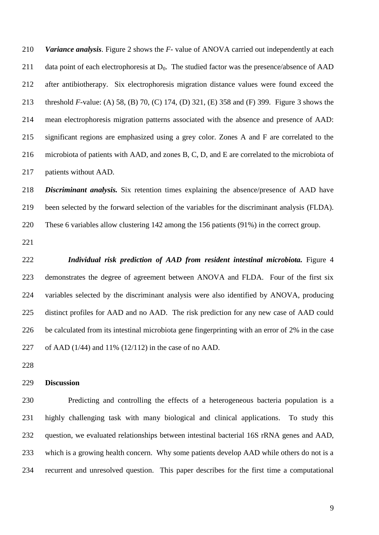*Variance analysis*. Figure 2 shows the *F-* value of ANOVA carried out independently at each 211 data point of each electrophoresis at  $D_0$ . The studied factor was the presence/absence of AAD after antibiotherapy. Six electrophoresis migration distance values were found exceed the threshold *F*-value: (A) 58, (B) 70, (C) 174, (D) 321, (E) 358 and (F) 399. Figure 3 shows the mean electrophoresis migration patterns associated with the absence and presence of AAD: significant regions are emphasized using a grey color. Zones A and F are correlated to the microbiota of patients with AAD, and zones B, C, D, and E are correlated to the microbiota of patients without AAD.

 *Discriminant analysis.* Six retention times explaining the absence/presence of AAD have been selected by the forward selection of the variables for the discriminant analysis (FLDA). These 6 variables allow clustering 142 among the 156 patients (91%) in the correct group.

 *Individual risk prediction of AAD from resident intestinal microbiota.* Figure 4 demonstrates the degree of agreement between ANOVA and FLDA. Four of the first six variables selected by the discriminant analysis were also identified by ANOVA, producing distinct profiles for AAD and no AAD. The risk prediction for any new case of AAD could be calculated from its intestinal microbiota gene fingerprinting with an error of 2% in the case of AAD (1/44) and 11% (12/112) in the case of no AAD.

#### **Discussion**

 Predicting and controlling the effects of a heterogeneous bacteria population is a highly challenging task with many biological and clinical applications. To study this question, we evaluated relationships between intestinal bacterial 16S rRNA genes and AAD, which is a growing health concern. Why some patients develop AAD while others do not is a recurrent and unresolved question. This paper describes for the first time a computational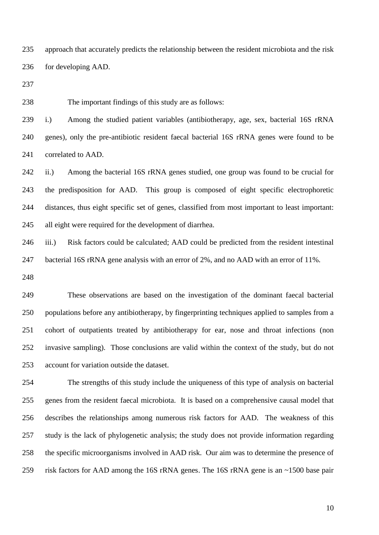approach that accurately predicts the relationship between the resident microbiota and the risk for developing AAD.

The important findings of this study are as follows:

 i.) Among the studied patient variables (antibiotherapy, age, sex, bacterial 16S rRNA genes), only the pre-antibiotic resident faecal bacterial 16S rRNA genes were found to be correlated to AAD.

 ii.) Among the bacterial 16S rRNA genes studied, one group was found to be crucial for the predisposition for AAD. This group is composed of eight specific electrophoretic distances, thus eight specific set of genes, classified from most important to least important: all eight were required for the development of diarrhea.

 iii.) Risk factors could be calculated; AAD could be predicted from the resident intestinal bacterial 16S rRNA gene analysis with an error of 2%, and no AAD with an error of 11%.

 These observations are based on the investigation of the dominant faecal bacterial populations before any antibiotherapy, by fingerprinting techniques applied to samples from a cohort of outpatients treated by antibiotherapy for ear, nose and throat infections (non invasive sampling). Those conclusions are valid within the context of the study, but do not account for variation outside the dataset.

 The strengths of this study include the uniqueness of this type of analysis on bacterial genes from the resident faecal microbiota. It is based on a comprehensive causal model that describes the relationships among numerous risk factors for AAD. The weakness of this study is the lack of phylogenetic analysis; the study does not provide information regarding the specific microorganisms involved in AAD risk. Our aim was to determine the presence of risk factors for AAD among the 16S rRNA genes. The 16S rRNA gene is an ~1500 base pair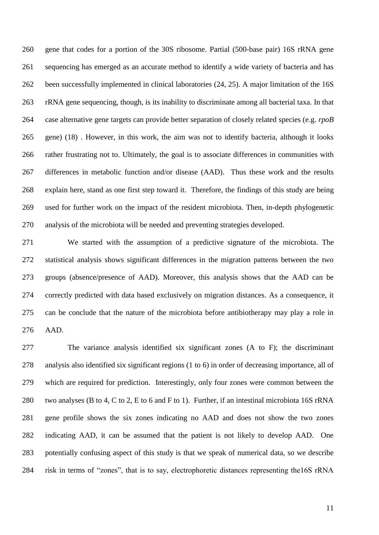gene that codes for a portion of the 30S ribosome. Partial (500-base pair) 16S rRNA gene sequencing has emerged as an accurate method to identify a wide variety of bacteria and has been successfully implemented in clinical laboratories (24, 25). A major limitation of the 16S rRNA gene sequencing, though, is its inability to discriminate among all bacterial taxa. In that case alternative gene targets can provide better separation of closely related species (e.g. *rpoB* gene) (18) . However, in this work, the aim was not to identify bacteria, although it looks rather frustrating not to. Ultimately, the goal is to associate differences in communities with differences in metabolic function and/or disease (AAD). Thus these work and the results explain here, stand as one first step toward it. Therefore, the findings of this study are being used for further work on the impact of the resident microbiota. Then, in-depth phylogenetic analysis of the microbiota will be needed and preventing strategies developed.

 We started with the assumption of a predictive signature of the microbiota. The statistical analysis shows significant differences in the migration patterns between the two groups (absence/presence of AAD). Moreover, this analysis shows that the AAD can be correctly predicted with data based exclusively on migration distances. As a consequence, it can be conclude that the nature of the microbiota before antibiotherapy may play a role in AAD.

 The variance analysis identified six significant zones (A to F); the discriminant analysis also identified six significant regions (1 to 6) in order of decreasing importance, all of which are required for prediction. Interestingly, only four zones were common between the two analyses (B to 4, C to 2, E to 6 and F to 1). Further, if an intestinal microbiota 16S rRNA gene profile shows the six zones indicating no AAD and does not show the two zones indicating AAD, it can be assumed that the patient is not likely to develop AAD. One potentially confusing aspect of this study is that we speak of numerical data, so we describe risk in terms of "zones", that is to say, electrophoretic distances representing the16S rRNA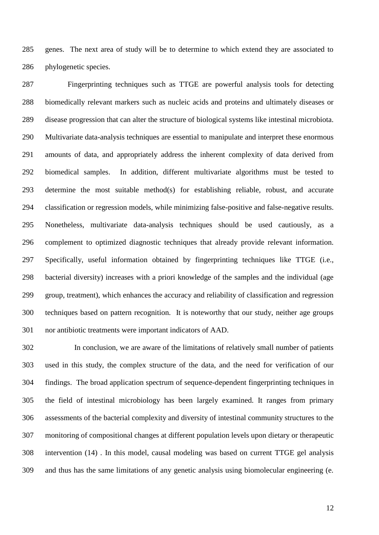genes. The next area of study will be to determine to which extend they are associated to phylogenetic species.

 Fingerprinting techniques such as TTGE are powerful analysis tools for detecting biomedically relevant markers such as nucleic acids and proteins and ultimately diseases or disease progression that can alter the structure of biological systems like intestinal microbiota. Multivariate data-analysis techniques are essential to manipulate and interpret these enormous amounts of data, and appropriately address the inherent complexity of data derived from biomedical samples. In addition, different multivariate algorithms must be tested to determine the most suitable method(s) for establishing reliable, robust, and accurate classification or regression models, while minimizing false-positive and false-negative results. Nonetheless, multivariate data-analysis techniques should be used cautiously, as a complement to optimized diagnostic techniques that already provide relevant information. Specifically, useful information obtained by fingerprinting techniques like TTGE (i.e., bacterial diversity) increases with a priori knowledge of the samples and the individual (age group, treatment), which enhances the accuracy and reliability of classification and regression techniques based on pattern recognition. It is noteworthy that our study, neither age groups nor antibiotic treatments were important indicators of AAD.

 In conclusion, we are aware of the limitations of relatively small number of patients used in this study, the complex structure of the data, and the need for verification of our findings. The broad application spectrum of sequence-dependent fingerprinting techniques in the field of intestinal microbiology has been largely examined. It ranges from primary assessments of the bacterial complexity and diversity of intestinal community structures to the monitoring of compositional changes at different population levels upon dietary or therapeutic intervention (14) . In this model, causal modeling was based on current TTGE gel analysis and thus has the same limitations of any genetic analysis using biomolecular engineering (e.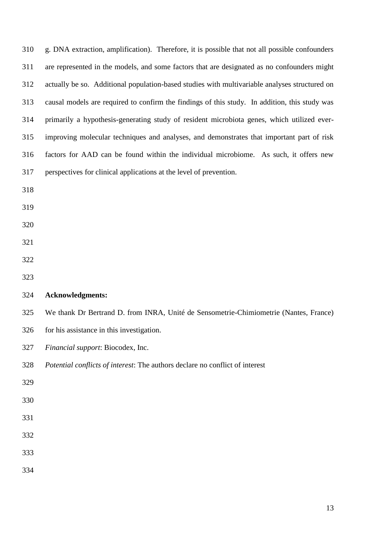| 310 | g. DNA extraction, amplification). Therefore, it is possible that not all possible confounders |
|-----|------------------------------------------------------------------------------------------------|
| 311 | are represented in the models, and some factors that are designated as no confounders might    |
| 312 | actually be so. Additional population-based studies with multivariable analyses structured on  |
| 313 | causal models are required to confirm the findings of this study. In addition, this study was  |
| 314 | primarily a hypothesis-generating study of resident microbiota genes, which utilized ever-     |
| 315 | improving molecular techniques and analyses, and demonstrates that important part of risk      |
| 316 | factors for AAD can be found within the individual microbiome. As such, it offers new          |
| 317 | perspectives for clinical applications at the level of prevention.                             |
| 318 |                                                                                                |
| 319 |                                                                                                |
| 320 |                                                                                                |
| 321 |                                                                                                |
| 322 |                                                                                                |
| 323 |                                                                                                |
| 324 | <b>Acknowledgments:</b>                                                                        |
| 325 | We thank Dr Bertrand D. from INRA, Unité de Sensometrie-Chimiometrie (Nantes, France)          |
| 326 | for his assistance in this investigation.                                                      |
| 327 | Financial support: Biocodex, Inc.                                                              |
| 328 | Potential conflicts of interest: The authors declare no conflict of interest                   |
| 329 |                                                                                                |
| 330 |                                                                                                |
| 331 |                                                                                                |
| 332 |                                                                                                |
| 333 |                                                                                                |
| 334 |                                                                                                |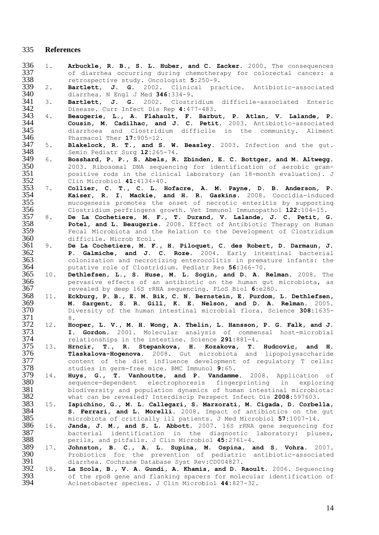#### **References**

- 1. **Arbuckle, R. B., S. L. Huber, and C. Zacker.** 2000. The consequences 337 of diarrhea occurring during chemotherapy for colorectal cancer: a<br>338 retrospective study. Oncologist  $5:250-9$ . 338 retrospective study. Oncologist 5:250-9.<br>339 2. **Bartlett, J. G.** 2002. Clinical pra
- 2. **Bartlett, J. G.** 2002. Clinical practice. Antibiotic-associated diarrhea. N Engl J Med **346:**334-9.
- 3. **Bartlett, J. G.** 2002. Clostridium difficile-associated Enteric Disease. Curr Infect Dis Rep **4:**477-483.
- 4. **Beaugerie, L., A. Flahault, F. Barbut, P. Atlan, V. Lalande, P. Cousin, M. Cadilhac, and J. C. Petit.** 2003. Antibiotic-associated 345 diarrhoea and Clostridium difficile in the community. Aliment 346 harmacol Ther 17:905-12. Pharmacol Ther **17:**905-12.
- 5. **Blakelock, R. T., and S. W. Beasley.** 2003. Infection and the gut. Semin Pediatr Surg **12:**265-74.
- 6. **Bosshard, P. P., S. Abels, R. Zbinden, E. C. Bottger, and M. Altwegg.** 2003. Ribosomal DNA sequencing for identification of aerobic gram-351 positive rods in the clinical laboratory (an 18-month evaluation). J<br>352 Clin Microbiol 41:4134-40. Clin Microbiol **41:**4134-40.
- 7. **Collier, C. T., C. L. Hofacre, A. M. Payne, D. B. Anderson, P. Kaiser, R. I. Mackie, and H. R. Gaskins.** 2008. Coccidia-induced mucogenesis promotes the onset of necrotic enteritis by supporting Clostridium perfringens growth. Vet Immunol Immunopathol **122:**104-15.
- 8. **De La Cochetiere, M. F., T. Durand, V. Lalande, J. C. Petit, G. Potel, and L. Beaugerie.** 2008. Effect of Antibiotic Therapy on Human 359 Fecal Microbiota and the Relation to the Development of Clostridium<br>360 difficile. Microb Ecol. 360 difficile. Microb Ecol.<br>361 9. De La Cochetiere, M. F
- 9. **De La Cochetiere, M. F., H. Piloquet, C. des Robert, D. Darmaun, J. P. Galmiche, and J. C. Roze.** 2004. Early intestinal bacterial 363 colonization and necrotizing enterocolitis in premature infants: the 364 putative role of Clostridium. Pediatr Res 56:366-70. putative role of Clostridium. Pediatr Res **56:**366-70.
- 10. **Dethlefsen, L., S. Huse, M. L. Sogin, and D. A. Relman.** 2008. The 366 pervasive effects of an antibiotic on the human gut microbiota, as revealed by deep 16S rRNA sequencing. PLoS Biol 6:e280. revealed by deep 16S rRNA sequencing. PLoS Biol **6:**e280.
- 11. **Eckburg, P. B., E. M. Bik, C. N. Bernstein, E. Purdom, L. Dethlefsen, M. Sargent, S. R. Gill, K. E. Nelson, and D. A. Relman.** 2005. Diversity of the human intestinal microbial flora. Science **308:**1635-  $\frac{371}{372}$  12. Ho
- 12. **Hooper, L. V., M. H. Wong, A. Thelin, L. Hansson, P. G. Falk, and J. I. Gordon.** 2001. Molecular analysis of commensal host-microbial 374 relationships in the intestine. Science 291:881-4.<br>375 13. **Hrncir, T., R. Stepankova, H. Kozakova, T.**
- 13. **Hrncir, T., R. Stepankova, H. Kozakova, T. Hudcovic, and H. Tlaskalova-Hogenova.** 2008. Gut microbiota and lipopolysaccharide content of the diet influence development of regulatory T cells: studies in germ-free mice. BMC Immunol **9:**65.
- 14. **Huys, G., T. Vanhoutte, and P. Vandamme.** 2008. Application of 380 sequence-dependent electrophoresis fingerprinting in exploring<br>381 biodiversity and population-dynamics of human-intestinal-microbiota: 381 biodiversity and population dynamics of human intestinal microbiota:<br>382 what can be revealed? Interdiscip Perspect Infect Dis 2008:597603. what can be revealed? Interdiscip Perspect Infect Dis **2008:**597603.
- 15. **Iapichino, G., M. L. Callegari, S. Marzorati, M. Cigada, D. Corbella, S. Ferrari, and L. Morelli.** 2008. Impact of antibiotics on the gut microbiota of critically ill patients. J Med Microbiol **57:**1007-14.
- 16. **Janda, J. M., and S. L. Abbott.** 2007. 16S rRNA gene sequencing for 387 bacterial identification in the diagnostic laboratory: pluses,<br>388 perils, and pitfalls. J Clin Microbiol  $45:2761-4$ . perils, and pitfalls. J Clin Microbiol **45:**2761-4.
- 17. **Johnston, B. C., A. L. Supina, M. Ospina, and S. Vohra.** 2007. 390 Probiotics for the prevention of pediatric antibiotic-associated<br>391 diarrhea. Cochrane Database Syst Rev:CD004827. diarrhea. Cochrane Database Syst Rev**:**CD004827.
- 18. **La Scola, B., V. A. Gundi, A. Khamis, and D. Raoult.** 2006. Sequencing 393 of the rpoB gene and flanking spacers for molecular identification of Acinetobacter species. J Clin Microbiol  $44:827-32$ . Acinetobacter species. J Clin Microbiol **44:**827-32.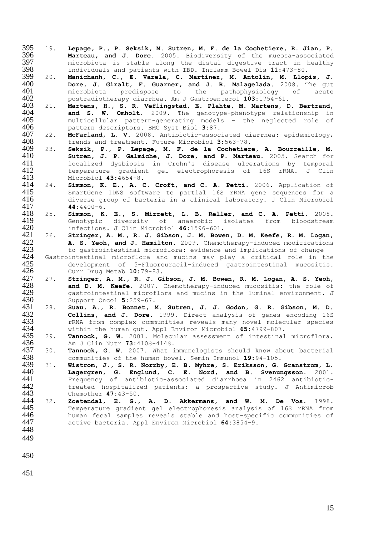- 19. **Lepage, P., P. Seksik, M. Sutren, M. F. de la Cochetiere, R. Jian, P. Marteau, and J. Dore.** 2005. Biodiversity of the mucosa-associated microbiota is stable along the distal digestive tract in healthy  $398$  individuals and patients with IBD. Inflamm Bowel Dis  $11:473-80$ . individuals and patients with IBD. Inflamm Bowel Dis **11:**473-80.
- 20. **Manichanh, C., E. Varela, C. Martinez, M. Antolin, M. Llopis, J. Dore, J. Giralt, F. Guarner, and J. R. Malagelada.** 2008. The gut microbiota predispose to the pathophysiology of acute  $402$  postradiotherany diarrhea. Am J Gastroenterol  $103:1754-61$ . postradiotherapy diarrhea. Am J Gastroenterol **103:**1754-61.
- 21. **Martens, H., S. R. Veflingstad, E. Plahte, M. Martens, D. Bertrand, and S. W. Omholt.** 2009. The genotype-phenotype relationship in 405 multicellular pattern-generating models - the neglected role of pattern descriptors. BMC Syst Biol 3:87. pattern descriptors. BMC Syst Biol **3:**87.
- 22. **McFarland, L. V.** 2008. Antibiotic-associated diarrhea: epidemiology, trends and treatment. Future Microbiol **3:**563-78.
- 23. **Seksik, P., P. Lepage, M. F. de la Cochetiere, A. Bourreille, M. Sutren, J. P. Galmiche, J. Dore, and P. Marteau.** 2005. Search for decalized dysbiosis in Crohn's disease ulcerations by temporal<br>412 12 1 temperature gradient gel electrophoresis of 16S rRNA. J Clin 412 temperature gradient gel electrophoresis of 16S rRNA. J Clin<br>413 Microbiol 43:4654-8. Microbiol **43:**4654-8.
- 24. **Simmon, K. E., A. C. Croft, and C. A. Petti.** 2006. Application of SmartGene IDNS software to partial 16S rRNA gene sequences for a diverse group of bacteria in a clinical laboratory. J Clin Microbiol 417 **44:**4400-6.<br>418 25. **Simmon, K.**
- 25. **Simmon, K. E., S. Mirrett, L. B. Reller, and C. A. Petti.** 2008. Genotypic diversity of anaerobic isolates from bloodstream infections. J Clin Microbiol **46:**1596-601.
- 26. **Stringer, A. M., R. J. Gibson, J. M. Bowen, D. M. Keefe, R. M. Logan, A. S. Yeoh, and J. Hamilton.** 2009. Chemotherapy-induced modifications 423 to gastrointestinal microflora: evidence and implications of change
- 423 to gastrointestinal microflora: evidence and implications of change<br>424 Gastrointestinal microflora and mucins may play a critical role in t 424 Gastrointestinal microflora and mucins may play a critical role in the<br>425 development of 5-Fluorouracil-induced gastrointestinal mucositis. 425 development of 5-Fluorouracil-induced gastrointestinal mucositis.<br>426 Curr Drug Metab 10:79-83. Curr Drug Metab **10:**79-83.
- 27. **Stringer, A. M., R. J. Gibson, J. M. Bowen, R. M. Logan, A. S. Yeoh, and D. M. Keefe.** 2007. Chemotherapy-induced mucositis: the role of 429 gastrointestinal microflora and mucins in the luminal environment. J<br>430 Support Oncol 5:259-67. Support Oncol **5:**259-67.
- 28. **Suau, A., R. Bonnet, M. Sutren, J. J. Godon, G. R. Gibson, M. D.**  432 **Collins, and J. Dore.** 1999. Direct analysis of genes encoding 16S<br>433 TRNA from complex communities reveals many novel molecular species 433 rRNA from complex communities reveals many novel molecular species<br>434 within the human gut. Appl Environ Microbiol 65:4799-807. within the human gut. Appl Environ Microbiol **65:**4799-807.
- 29. **Tannock, G. W.** 2001. Molecular assessment of intestinal microflora. 436 Am J Clin Nutr **73:**410S-414S.<br>437 30. **Tannock, G. W.** 2007. What i
- 30. **Tannock, G. W.** 2007. What immunologists should know about bacterial communities of the human bowel. Semin Immunol **19:**94-105.
- 31. **Wistrom, J., S. R. Norrby, E. B. Myhre, S. Eriksson, G. Granstrom, L. Lagergren, G. Englund, C. E. Nord, and B. Svenungsson.** 2001. Frequency of antibiotic-associated diarrhoea in 2462 antibiotic-442 treated hospitalized patients: a prospective study. J Antimicrob Chemother  $47:43-50$ . Chemother **47:**43-50.
- 32. **Zoetendal, E. G., A. D. Akkermans, and W. M. De Vos.** 1998. Temperature gradient gel electrophoresis analysis of 16S rRNA from human fecal samples reveals stable and host-specific communities of active bacteria. Appl Environ Microbiol **64:**3854-9.
- 
- 
-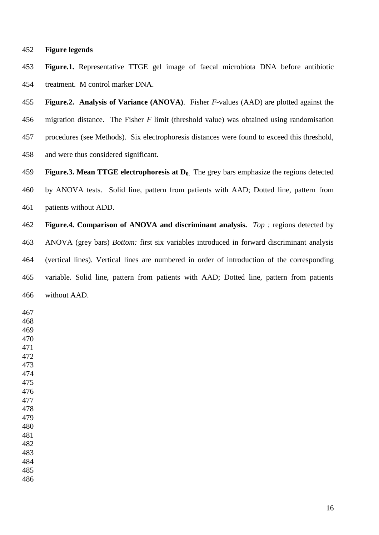#### **Figure legends**

 **Figure.1.** Representative TTGE gel image of faecal microbiota DNA before antibiotic treatment. M control marker DNA.

 **Figure.2. Analysis of Variance (ANOVA)**. Fisher *F*-values (AAD) are plotted against the migration distance. The Fisher *F* limit (threshold value) was obtained using randomisation procedures (see Methods). Six electrophoresis distances were found to exceed this threshold, and were thus considered significant.

 **Figure.3. Mean TTGE electrophoresis at D0.** The grey bars emphasize the regions detected by ANOVA tests. Solid line, pattern from patients with AAD; Dotted line, pattern from patients without ADD.

 **Figure.4. Comparison of ANOVA and discriminant analysis.** *Top :* regions detected by ANOVA (grey bars) *Bottom:* first six variables introduced in forward discriminant analysis (vertical lines). Vertical lines are numbered in order of introduction of the corresponding variable. Solid line, pattern from patients with AAD; Dotted line, pattern from patients without AAD.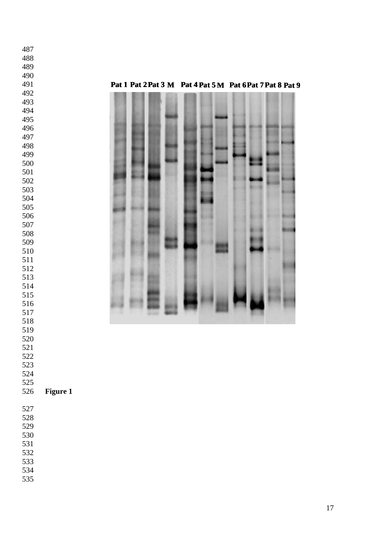#### **Pat 1 Pat 2Pat 3 M Pat 4 Pat 5 M Pat 6Pat 7Pat 8 Pat 9**



 

- 
- 
- 
- 
- 
- 

### **Figure 1**

- 
- 
- 
- 
- 
- 
- 
-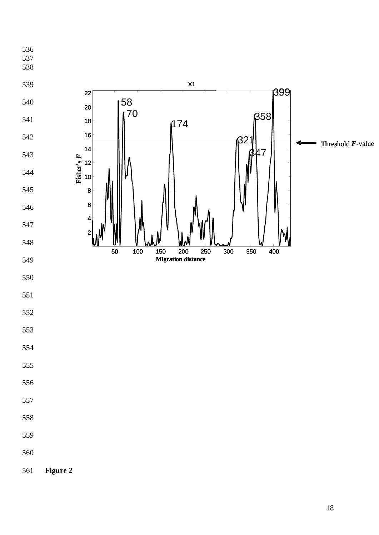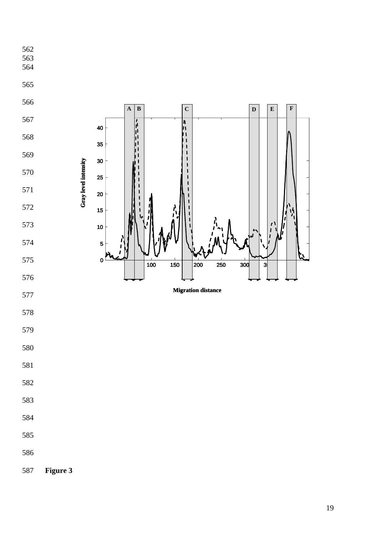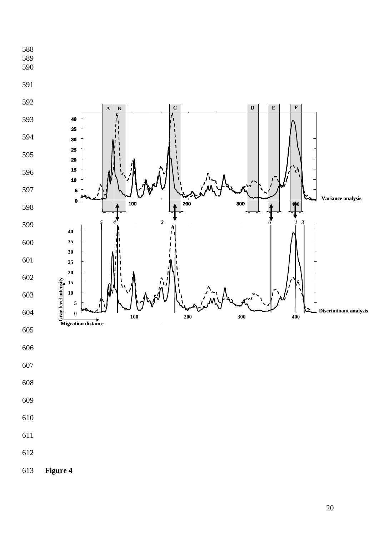

Figure 4